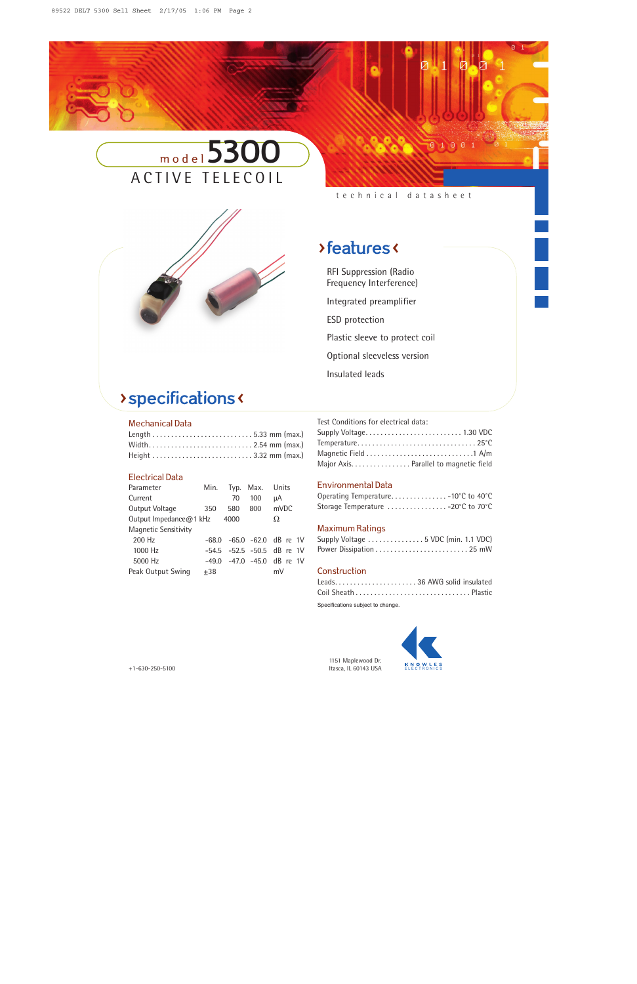



technical datasheet

0100

## >features <

RFI Suppression (Radio Frequency Interference) Integrated preamplifier ESD protection Plastic sleeve to protect coil Optional sleeveless version Insulated leads

# > specifications <

#### Mechanical Data

| Width2.54 mm (max.) |  |  |
|---------------------|--|--|
|                     |  |  |

### Electrical Data

| Parameter              | Min.    | Typ. | Max. | Units                      |  |
|------------------------|---------|------|------|----------------------------|--|
| Current                |         | 70   | 100  | uΑ                         |  |
| Output Voltage         | 350     | 580  | 800  | mVDC                       |  |
| Output Impedance@1 kHz |         | 4000 |      | Ω                          |  |
| Magnetic Sensitivity   |         |      |      |                            |  |
| 200 Hz                 | -68.0   |      |      | $-65.0$ $-62.0$ dB re 1V   |  |
| 1000 Hz                |         |      |      | -54.5 -52.5 -50.5 dB re 1V |  |
| 5000 Hz                | $-49.0$ |      |      | $-47.0$ $-45.0$ dB re 1V   |  |
| Peak Output Swing      | $+38$   |      |      | mV                         |  |
|                        |         |      |      |                            |  |

| Test Conditions for electrical data:   |  |
|----------------------------------------|--|
|                                        |  |
|                                        |  |
|                                        |  |
| Major Axis. Parallel to magnetic field |  |

## Environmental Data

| Operating Temperature10°C to 40°C  |  |  |
|------------------------------------|--|--|
| Storage Temperature  -20°C to 70°C |  |  |

### Maximum Ratings

| Supply Voltage  5 VDC (min. 1.1 VDC) |  |
|--------------------------------------|--|
|                                      |  |

### Construction

| Leads36 AWG solid insulated |  |
|-----------------------------|--|
|                             |  |

Specifications subject to change.



1151 Maplewood Dr. +1-630-250-5100 Itasca, IL 60143 USA ELECTRONICS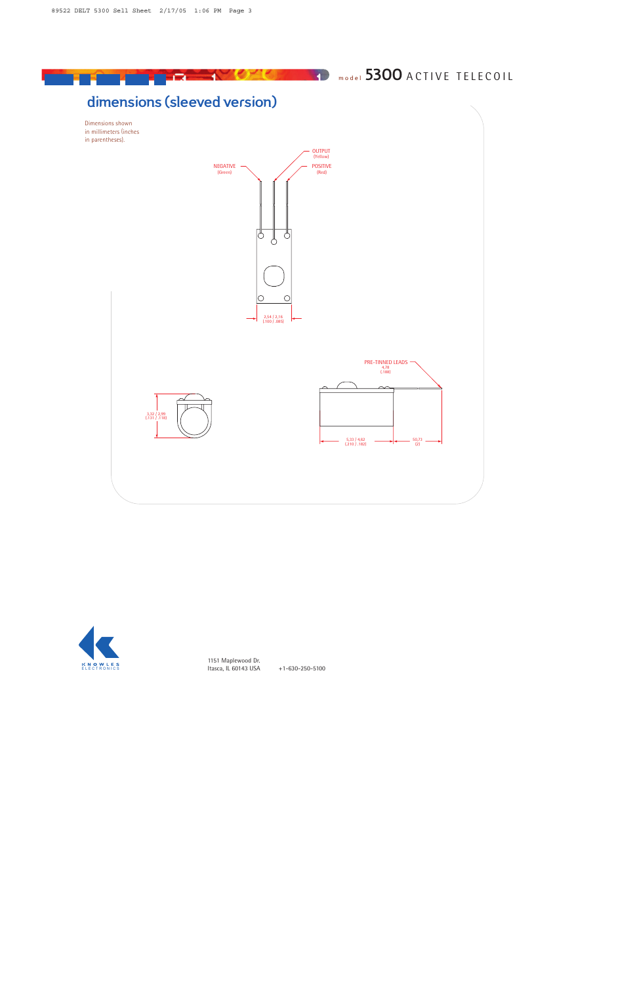

## dimensions (sleeved version)

Г.

Dimensions shown in millimeters (inches in parentheses).



 $\mathbf{A}$ 

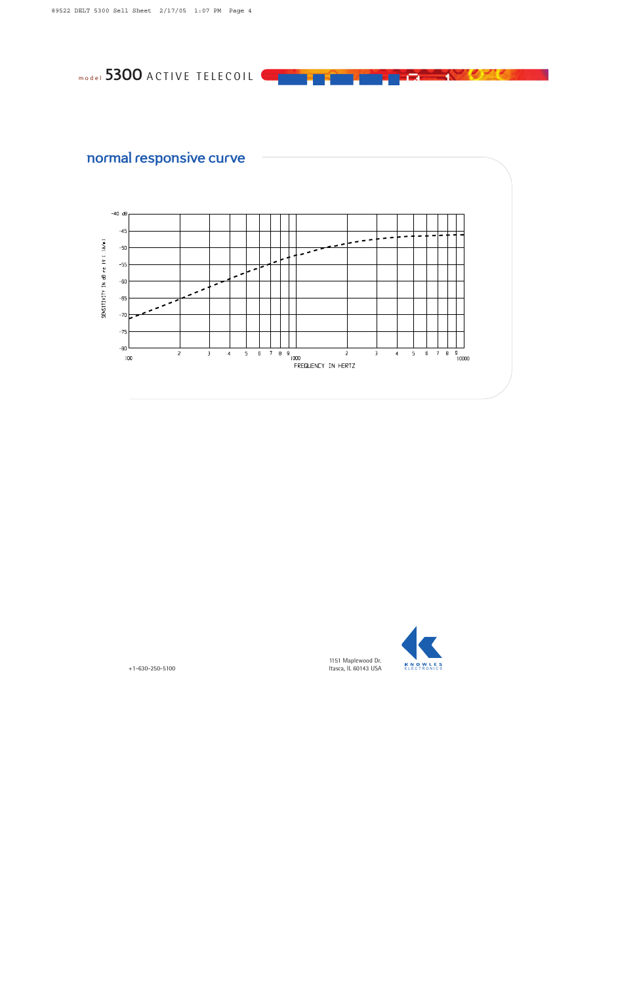normal responsive curve





 $\Box$  1

1151 Maplewood Dr . 0 Itasca, IL 60143 USA ELECTRONICS